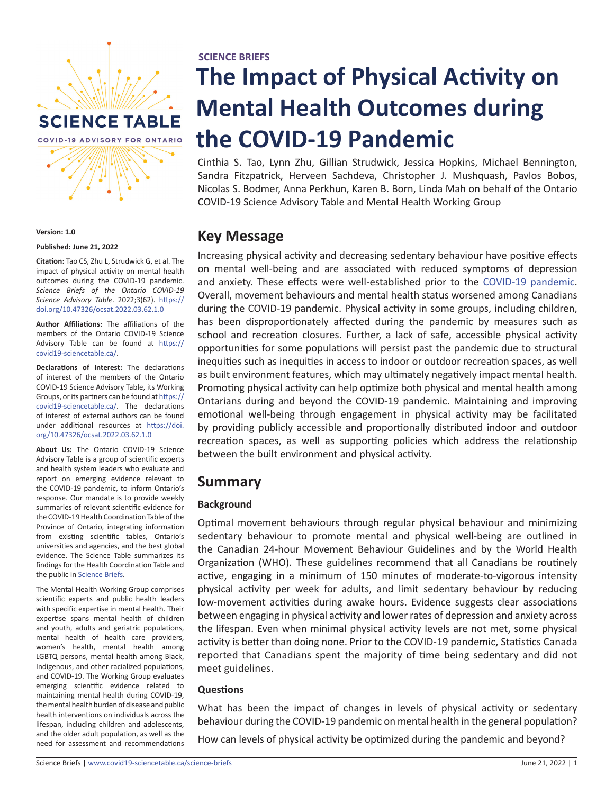

#### **Version: 1.0**

#### **Published: June 21, 2022**

**Citation:** Tao CS, Zhu L, Strudwick G, et al. The impact of physical activity on mental health outcomes during the COVID-19 pandemic. *Science Briefs of the Ontario COVID-19 Science Advisory Table*. 2022;3(62). [https://](https://doi.org/10.47326/ocsat.2022.03.62.1.0) [doi.org/10.47326/ocsat.2022.03.62.1.0](https://doi.org/10.47326/ocsat.2022.03.62.1.0)

**Author Affiliations:** The affiliations of the members of the Ontario COVID-19 Science Advisory Table can be found at [https://](https://covid19-sciencetable.ca/) [covid19-sciencetable.ca/](https://covid19-sciencetable.ca/).

**Declarations of Interest:** The declarations of interest of the members of the Ontario COVID-19 Science Advisory Table, its Working Groups, or its partners can be found at [https://](https://covid19-sciencetable.ca/) [covid19-sciencetable.ca/](https://covid19-sciencetable.ca/). The declarations of interest of external authors can be found under additional resources at [https://doi.](https://doi.org/10.47326/ocsat.2022.03.62.1.0) [org/10.47326/ocsat.2022.03.62.1.0](https://doi.org/10.47326/ocsat.2022.03.62.1.0)

**About Us:** The Ontario COVID-19 Science Advisory Table is a group of scientific experts and health system leaders who evaluate and report on emerging evidence relevant to the COVID-19 pandemic, to inform Ontario's response. Our mandate is to provide weekly summaries of relevant scientific evidence for the COVID-19 Health Coordination Table of the Province of Ontario, integrating information from existing scientific tables, Ontario's universities and agencies, and the best global evidence. The Science Table summarizes its findings for the Health Coordination Table and the public in [Science Briefs.](http://www.covid19-sciencetable.ca/sciencebriefs)

The Mental Health Working Group comprises scientific experts and public health leaders with specific expertise in mental health. Their expertise spans mental health of children and youth, adults and geriatric populations, mental health of health care providers, women's health, mental health among LGBTQ persons, mental health among Black, Indigenous, and other racialized populations, and COVID-19. The Working Group evaluates emerging scientific evidence related to maintaining mental health during COVID-19, the mental health burden of disease and public health interventions on individuals across the lifespan, including children and adolescents, and the older adult population, as well as the need for assessment and recommendations

#### **SCIENCE BRIEFS**

# **The Impact of Physical Activity on Mental Health Outcomes during the COVID-19 Pandemic**

Cinthia S. Tao, Lynn Zhu, Gillian Strudwick, Jessica Hopkins, Michael Bennington, Sandra Fitzpatrick, Herveen Sachdeva, Christopher J. Mushquash, Pavlos Bobos, Nicolas S. Bodmer, Anna Perkhun, Karen B. Born, Linda Mah on behalf of the Ontario COVID-19 Science Advisory Table and Mental Health Working Group

## **Key Message**

Increasing physical activity and decreasing sedentary behaviour have positive effects on mental well-being and are associated with reduced symptoms of depression and anxiety. These effects were well-established prior to the [COVID-19](https://covid19-sciencetable.ca/glossary/#covid-19) [pandemic](https://covid19-sciencetable.ca/glossary/#pandemic). Overall, movement behaviours and mental health status worsened among Canadians during the COVID-19 pandemic. Physical activity in some groups, including children, has been disproportionately affected during the pandemic by measures such as school and recreation closures. Further, a lack of safe, accessible physical activity opportunities for some populations will persist past the pandemic due to structural inequities such as inequities in access to indoor or outdoor recreation spaces, as well as built environment features, which may ultimately negatively impact mental health. Promoting physical activity can help optimize both physical and mental health among Ontarians during and beyond the COVID-19 pandemic. Maintaining and improving emotional well-being through engagement in physical activity may be facilitated by providing publicly accessible and proportionally distributed indoor and outdoor recreation spaces, as well as supporting policies which address the relationship between the built environment and physical activity.

## **Summary**

#### **Background**

Optimal movement behaviours through regular physical behaviour and minimizing sedentary behaviour to promote mental and physical well-being are outlined in the Canadian 24-hour Movement Behaviour Guidelines and by the World Health Organization (WHO). These guidelines recommend that all Canadians be routinely active, engaging in a minimum of 150 minutes of moderate-to-vigorous intensity physical activity per week for adults, and limit sedentary behaviour by reducing low-movement activities during awake hours. Evidence suggests clear associations between engaging in physical activity and lower rates of depression and anxiety across the lifespan. Even when minimal physical activity levels are not met, some physical activity is better than doing none. Prior to the COVID-19 pandemic, Statistics Canada reported that Canadians spent the majority of time being sedentary and did not meet guidelines.

#### **Questions**

What has been the impact of changes in levels of physical activity or sedentary behaviour during the COVID-19 pandemic on mental health in the general population?

How can levels of physical activity be optimized during the pandemic and beyond?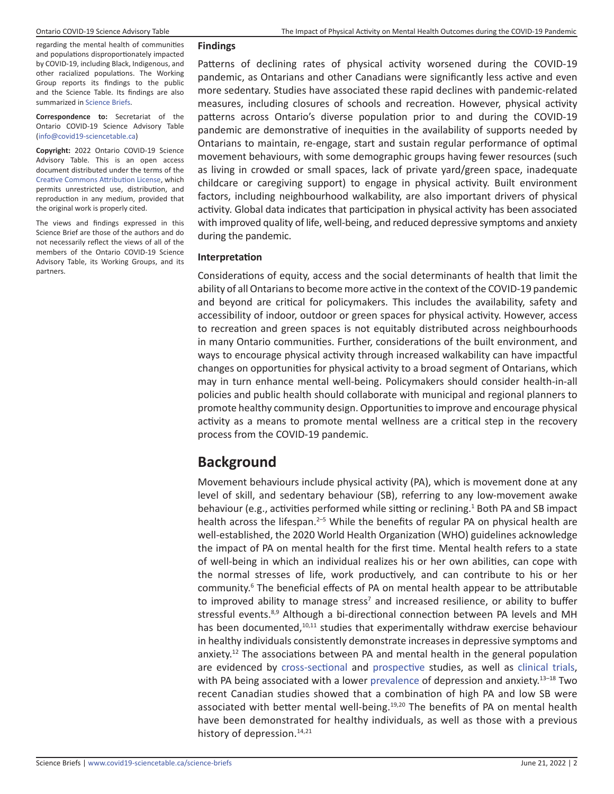#### **Findings**

regarding the mental health of communities and populations disproportionately impacted by COVID-19, including Black, Indigenous, and other racialized populations. The Working Group reports its findings to the public and the Science Table. Its findings are also summarized in [Science Briefs.](http://www.covid19-sciencetable.ca/sciencebriefs)

**Correspondence to:** Secretariat of the Ontario COVID-19 Science Advisory Table [\(info@covid19-sciencetable.ca](mailto:info@covid19-sciencetable.ca))

**Copyright:** 2022 Ontario COVID-19 Science Advisory Table. This is an open access document distributed under the terms of the [Creative Commons Attribution License](https://creativecommons.org/licenses/by/4.0/), which permits unrestricted use, distribution, and reproduction in any medium, provided that the original work is properly cited.

The views and findings expressed in this Science Brief are those of the authors and do not necessarily reflect the views of all of the members of the Ontario COVID-19 Science Advisory Table, its Working Groups, and its partners.

Patterns of declining rates of physical activity worsened during the COVID-19 pandemic, as Ontarians and other Canadians were significantly less active and even more sedentary. Studies have associated these rapid declines with pandemic-related measures, including closures of schools and recreation. However, physical activity patterns across Ontario's diverse population prior to and during the COVID-19 pandemic are demonstrative of inequities in the availability of supports needed by Ontarians to maintain, re-engage, start and sustain regular performance of optimal movement behaviours, with some demographic groups having fewer resources (such as living in crowded or small spaces, lack of private yard/green space, inadequate childcare or caregiving support) to engage in physical activity. Built environment factors, including neighbourhood walkability, are also important drivers of physical activity. Global data indicates that participation in physical activity has been associated with improved quality of life, well-being, and reduced depressive symptoms and anxiety during the pandemic.

#### **Interpretation**

Considerations of equity, access and the social determinants of health that limit the ability of all Ontarians to become more active in the context of the COVID-19 pandemic and beyond are critical for policymakers. This includes the availability, safety and accessibility of indoor, outdoor or green spaces for physical activity. However, access to recreation and green spaces is not equitably distributed across neighbourhoods in many Ontario communities. Further, considerations of the built environment, and ways to encourage physical activity through increased walkability can have impactful changes on opportunities for physical activity to a broad segment of Ontarians, which may in turn enhance mental well-being. Policymakers should consider health-in-all policies and public health should collaborate with municipal and regional planners to promote healthy community design. Opportunities to improve and encourage physical activity as a means to promote mental wellness are a critical step in the recovery process from the COVID-19 pandemic.

## **Background**

Movement behaviours include physical activity (PA), which is movement done at any level of skill, and sedentary behaviour (SB), referring to any low-movement awake behaviour (e.g., activities performed while sitting or reclining.<sup>1</sup> Both PA and SB impact health across the lifespan.<sup>2–5</sup> While the benefits of regular PA on physical health are well-established, the 2020 World Health Organization (WHO) guidelines acknowledge the impact of PA on mental health for the first time. Mental health refers to a state of well-being in which an individual realizes his or her own abilities, can cope with the normal stresses of life, work productively, and can contribute to his or her community.<sup>6</sup> The beneficial effects of PA on mental health appear to be attributable to improved ability to manage stress<sup>7</sup> and increased resilience, or ability to buffer stressful events.8,9 Although a bi-directional connection between PA levels and MH has been documented,<sup>10,11</sup> studies that experimentally withdraw exercise behaviour in healthy individuals consistently demonstrate increases in depressive symptoms and anxiety.<sup>12</sup> The associations between PA and mental health in the general population are evidenced by [cross-sectional](https://covid19-sciencetable.ca/glossary/#cross-sectional-study) and [prospective](https://covid19-sciencetable.ca/glossary/#prospective-study) studies, as well as [clinical trials](https://covid19-sciencetable.ca/glossary/#clinical-trial), with PA being associated with a lower [prevalence](https://covid19-sciencetable.ca/glossary/#prevalence) of depression and anxiety.<sup>13-18</sup> Two recent Canadian studies showed that a combination of high PA and low SB were associated with better mental well-being.<sup>19,20</sup> The benefits of PA on mental health have been demonstrated for healthy individuals, as well as those with a previous history of depression.<sup>14,21</sup>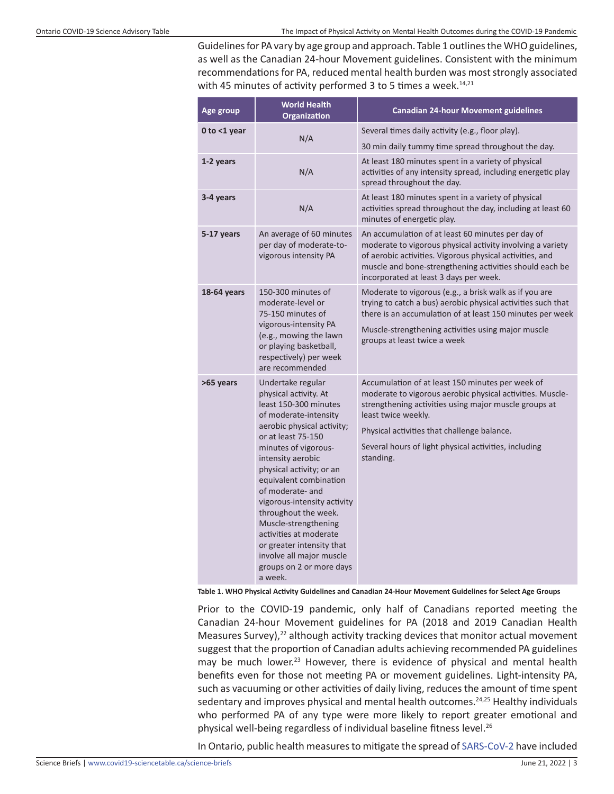Guidelines for PA vary by age group and approach. Table 1 outlines the WHO guidelines, as well as the Canadian 24-hour Movement guidelines. Consistent with the minimum recommendations for PA, reduced mental health burden was most strongly associated with 45 minutes of activity performed 3 to 5 times a week. $14,21$ 

| Age group       | <b>World Health</b><br><b>Organization</b>                                                                                                                                                                                                                                                                                                                                                                                                                                       | <b>Canadian 24-hour Movement guidelines</b>                                                                                                                                                                                                                                                                        |
|-----------------|----------------------------------------------------------------------------------------------------------------------------------------------------------------------------------------------------------------------------------------------------------------------------------------------------------------------------------------------------------------------------------------------------------------------------------------------------------------------------------|--------------------------------------------------------------------------------------------------------------------------------------------------------------------------------------------------------------------------------------------------------------------------------------------------------------------|
| 0 to $<$ 1 year | N/A                                                                                                                                                                                                                                                                                                                                                                                                                                                                              | Several times daily activity (e.g., floor play).                                                                                                                                                                                                                                                                   |
|                 |                                                                                                                                                                                                                                                                                                                                                                                                                                                                                  | 30 min daily tummy time spread throughout the day.                                                                                                                                                                                                                                                                 |
| 1-2 years       | N/A                                                                                                                                                                                                                                                                                                                                                                                                                                                                              | At least 180 minutes spent in a variety of physical<br>activities of any intensity spread, including energetic play<br>spread throughout the day.                                                                                                                                                                  |
| 3-4 years       | N/A                                                                                                                                                                                                                                                                                                                                                                                                                                                                              | At least 180 minutes spent in a variety of physical<br>activities spread throughout the day, including at least 60<br>minutes of energetic play.                                                                                                                                                                   |
| 5-17 years      | An average of 60 minutes<br>per day of moderate-to-<br>vigorous intensity PA                                                                                                                                                                                                                                                                                                                                                                                                     | An accumulation of at least 60 minutes per day of<br>moderate to vigorous physical activity involving a variety<br>of aerobic activities. Vigorous physical activities, and<br>muscle and bone-strengthening activities should each be<br>incorporated at least 3 days per week.                                   |
| 18-64 years     | 150-300 minutes of<br>moderate-level or<br>75-150 minutes of<br>vigorous-intensity PA<br>(e.g., mowing the lawn<br>or playing basketball,<br>respectively) per week<br>are recommended                                                                                                                                                                                                                                                                                           | Moderate to vigorous (e.g., a brisk walk as if you are<br>trying to catch a bus) aerobic physical activities such that<br>there is an accumulation of at least 150 minutes per week<br>Muscle-strengthening activities using major muscle<br>groups at least twice a week                                          |
| >65 years       | Undertake regular<br>physical activity. At<br>least 150-300 minutes<br>of moderate-intensity<br>aerobic physical activity;<br>or at least 75-150<br>minutes of vigorous-<br>intensity aerobic<br>physical activity; or an<br>equivalent combination<br>of moderate- and<br>vigorous-intensity activity<br>throughout the week.<br>Muscle-strengthening<br>activities at moderate<br>or greater intensity that<br>involve all major muscle<br>groups on 2 or more days<br>a week. | Accumulation of at least 150 minutes per week of<br>moderate to vigorous aerobic physical activities. Muscle-<br>strengthening activities using major muscle groups at<br>least twice weekly.<br>Physical activities that challenge balance.<br>Several hours of light physical activities, including<br>standing. |

**Table 1. WHO Physical Activity Guidelines and Canadian 24-Hour Movement Guidelines for Select Age Groups** 

Prior to the COVID-19 pandemic, only half of Canadians reported meeting the Canadian 24-hour Movement guidelines for PA (2018 and 2019 Canadian Health Measures Survey),<sup>22</sup> although activity tracking devices that monitor actual movement suggest that the proportion of Canadian adults achieving recommended PA guidelines may be much lower.<sup>23</sup> However, there is evidence of physical and mental health benefits even for those not meeting PA or movement guidelines. Light-intensity PA, such as vacuuming or other activities of daily living, reduces the amount of time spent sedentary and improves physical and mental health outcomes.<sup>24,25</sup> Healthy individuals who performed PA of any type were more likely to report greater emotional and physical well-being regardless of individual baseline fitness level.<sup>26</sup>

In Ontario, public health measures to mitigate the spread of [SARS-CoV-2](https://covid19-sciencetable.ca/glossary/#sars-cov-2) have included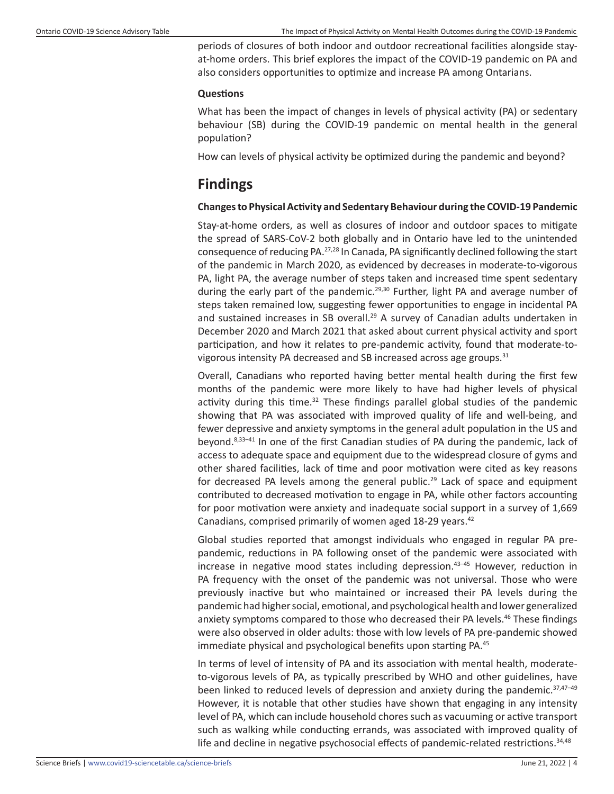periods of closures of both indoor and outdoor recreational facilities alongside stayat-home orders. This brief explores the impact of the COVID-19 pandemic on PA and also considers opportunities to optimize and increase PA among Ontarians.

#### **Questions**

What has been the impact of changes in levels of physical activity (PA) or sedentary behaviour (SB) during the COVID-19 pandemic on mental health in the general population?

How can levels of physical activity be optimized during the pandemic and beyond?

## **Findings**

### **Changes to Physical Activity and Sedentary Behaviour during the COVID-19 Pandemic**

Stay-at-home orders, as well as closures of indoor and outdoor spaces to mitigate the spread of SARS-CoV-2 both globally and in Ontario have led to the unintended consequence of reducing PA.<sup>27,28</sup> In Canada, PA significantly declined following the start of the pandemic in March 2020, as evidenced by decreases in moderate-to-vigorous PA, light PA, the average number of steps taken and increased time spent sedentary during the early part of the pandemic.<sup>29,30</sup> Further, light PA and average number of steps taken remained low, suggesting fewer opportunities to engage in incidental PA and sustained increases in SB overall.<sup>29</sup> A survey of Canadian adults undertaken in December 2020 and March 2021 that asked about current physical activity and sport participation, and how it relates to pre-pandemic activity, found that moderate-tovigorous intensity PA decreased and SB increased across age groups.<sup>31</sup>

Overall, Canadians who reported having better mental health during the first few months of the pandemic were more likely to have had higher levels of physical activity during this time. $32$  These findings parallel global studies of the pandemic showing that PA was associated with improved quality of life and well-being, and fewer depressive and anxiety symptoms in the general adult population in the US and beyond. $8,33-41$  In one of the first Canadian studies of PA during the pandemic, lack of access to adequate space and equipment due to the widespread closure of gyms and other shared facilities, lack of time and poor motivation were cited as key reasons for decreased PA levels among the general public.<sup>29</sup> Lack of space and equipment contributed to decreased motivation to engage in PA, while other factors accounting for poor motivation were anxiety and inadequate social support in a survey of 1,669 Canadians, comprised primarily of women aged 18-29 years.<sup>42</sup>

Global studies reported that amongst individuals who engaged in regular PA prepandemic, reductions in PA following onset of the pandemic were associated with increase in negative mood states including depression.43–45 However, reduction in PA frequency with the onset of the pandemic was not universal. Those who were previously inactive but who maintained or increased their PA levels during the pandemic had higher social, emotional, and psychological health and lower generalized anxiety symptoms compared to those who decreased their PA levels.46 These findings were also observed in older adults: those with low levels of PA pre-pandemic showed immediate physical and psychological benefits upon starting PA.<sup>45</sup>

In terms of level of intensity of PA and its association with mental health, moderateto-vigorous levels of PA, as typically prescribed by WHO and other guidelines, have been linked to reduced levels of depression and anxiety during the pandemic.<sup>37,47-49</sup> However, it is notable that other studies have shown that engaging in any intensity level of PA, which can include household chores such as vacuuming or active transport such as walking while conducting errands, was associated with improved quality of life and decline in negative psychosocial effects of pandemic-related restrictions.<sup>34,48</sup>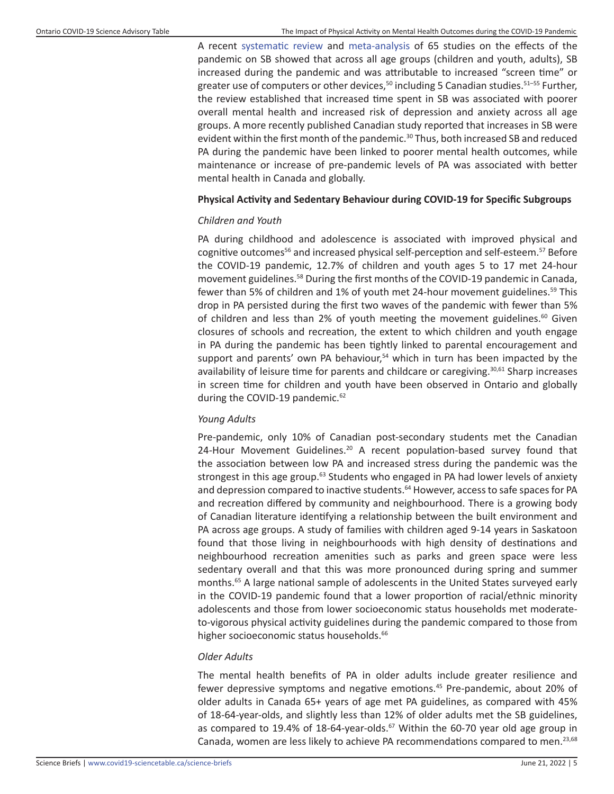A recent [systematic review](https://covid19-sciencetable.ca/glossary/#systematic-review) and [meta-analysis](https://covid19-sciencetable.ca/glossary/#meta-analysis) of 65 studies on the effects of the pandemic on SB showed that across all age groups (children and youth, adults), SB increased during the pandemic and was attributable to increased "screen time" or greater use of computers or other devices,<sup>50</sup> including 5 Canadian studies.<sup>51-55</sup> Further, the review established that increased time spent in SB was associated with poorer overall mental health and increased risk of depression and anxiety across all age groups. A more recently published Canadian study reported that increases in SB were evident within the first month of the pandemic.<sup>30</sup> Thus, both increased SB and reduced PA during the pandemic have been linked to poorer mental health outcomes, while maintenance or increase of pre-pandemic levels of PA was associated with better mental health in Canada and globally.

#### **Physical Activity and Sedentary Behaviour during COVID-19 for Specific Subgroups**

#### *Children and Youth*

PA during childhood and adolescence is associated with improved physical and cognitive outcomes<sup>56</sup> and increased physical self-perception and self-esteem.<sup>57</sup> Before the COVID-19 pandemic, 12.7% of children and youth ages 5 to 17 met 24-hour movement guidelines.<sup>58</sup> During the first months of the COVID-19 pandemic in Canada, fewer than 5% of children and 1% of youth met 24-hour movement guidelines.<sup>59</sup> This drop in PA persisted during the first two waves of the pandemic with fewer than 5% of children and less than 2% of youth meeting the movement guidelines.<sup>60</sup> Given closures of schools and recreation, the extent to which children and youth engage in PA during the pandemic has been tightly linked to parental encouragement and support and parents' own PA behaviour, $54$  which in turn has been impacted by the availability of leisure time for parents and childcare or caregiving.<sup>30,61</sup> Sharp increases in screen time for children and youth have been observed in Ontario and globally during the COVID-19 pandemic. $62$ 

#### *Young Adults*

Pre-pandemic, only 10% of Canadian post-secondary students met the Canadian 24-Hour Movement Guidelines.<sup>20</sup> A recent population-based survey found that the association between low PA and increased stress during the pandemic was the strongest in this age group.<sup>63</sup> Students who engaged in PA had lower levels of anxiety and depression compared to inactive students.<sup>64</sup> However, access to safe spaces for PA and recreation differed by community and neighbourhood. There is a growing body of Canadian literature identifying a relationship between the built environment and PA across age groups. A study of families with children aged 9-14 years in Saskatoon found that those living in neighbourhoods with high density of destinations and neighbourhood recreation amenities such as parks and green space were less sedentary overall and that this was more pronounced during spring and summer months.65 A large national sample of adolescents in the United States surveyed early in the COVID-19 pandemic found that a lower proportion of racial/ethnic minority adolescents and those from lower socioeconomic status households met moderateto-vigorous physical activity guidelines during the pandemic compared to those from higher socioeconomic status households.<sup>66</sup>

#### *Older Adults*

The mental health benefits of PA in older adults include greater resilience and fewer depressive symptoms and negative emotions.<sup>45</sup> Pre-pandemic, about 20% of older adults in Canada 65+ years of age met PA guidelines, as compared with 45% of 18-64-year-olds, and slightly less than 12% of older adults met the SB guidelines, as compared to 19.4% of 18-64-year-olds.<sup>67</sup> Within the 60-70 year old age group in Canada, women are less likely to achieve PA recommendations compared to men.<sup>23,68</sup>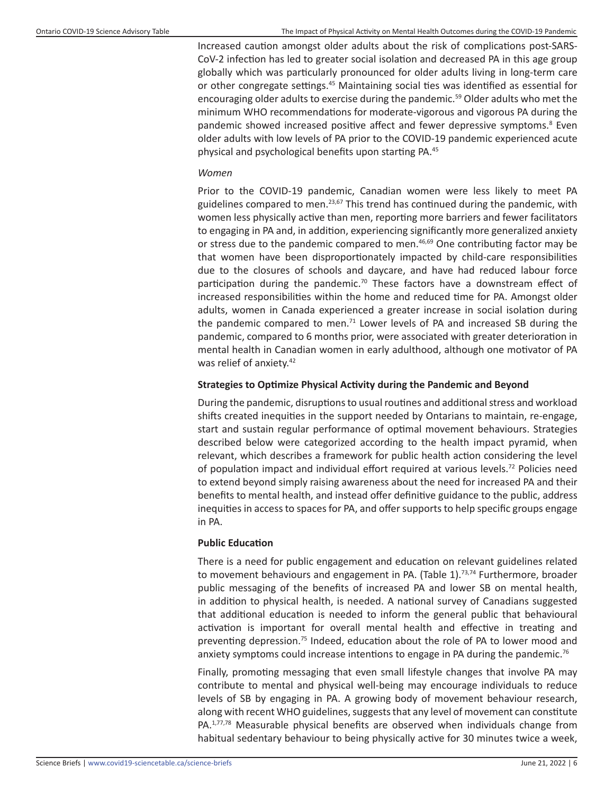Increased caution amongst older adults about the risk of complications post-SARS-CoV-2 infection has led to greater social isolation and decreased PA in this age group globally which was particularly pronounced for older adults living in long-term care or other congregate settings.45 Maintaining social ties was identified as essential for encouraging older adults to exercise during the pandemic.<sup>59</sup> Older adults who met the minimum WHO recommendations for moderate-vigorous and vigorous PA during the pandemic showed increased positive affect and fewer depressive symptoms.<sup>8</sup> Even older adults with low levels of PA prior to the COVID-19 pandemic experienced acute physical and psychological benefits upon starting PA.45

#### *Women*

Prior to the COVID-19 pandemic, Canadian women were less likely to meet PA guidelines compared to men.<sup>23,67</sup> This trend has continued during the pandemic, with women less physically active than men, reporting more barriers and fewer facilitators to engaging in PA and, in addition, experiencing significantly more generalized anxiety or stress due to the pandemic compared to men. $46,69$  One contributing factor may be that women have been disproportionately impacted by child-care responsibilities due to the closures of schools and daycare, and have had reduced labour force participation during the pandemic.<sup>70</sup> These factors have a downstream effect of increased responsibilities within the home and reduced time for PA. Amongst older adults, women in Canada experienced a greater increase in social isolation during the pandemic compared to men.<sup>71</sup> Lower levels of PA and increased SB during the pandemic, compared to 6 months prior, were associated with greater deterioration in mental health in Canadian women in early adulthood, although one motivator of PA was relief of anxiety.<sup>42</sup>

#### **Strategies to Optimize Physical Activity during the Pandemic and Beyond**

During the pandemic, disruptions to usual routines and additional stress and workload shifts created inequities in the support needed by Ontarians to maintain, re-engage, start and sustain regular performance of optimal movement behaviours. Strategies described below were categorized according to the health impact pyramid, when relevant, which describes a framework for public health action considering the level of population impact and individual effort required at various levels.<sup>72</sup> Policies need to extend beyond simply raising awareness about the need for increased PA and their benefits to mental health, and instead offer definitive guidance to the public, address inequities in access to spaces for PA, and offer supports to help specific groups engage in PA.

## **Public Education**

There is a need for public engagement and education on relevant guidelines related to movement behaviours and engagement in PA. (Table 1).<sup>73,74</sup> Furthermore, broader public messaging of the benefits of increased PA and lower SB on mental health, in addition to physical health, is needed. A national survey of Canadians suggested that additional education is needed to inform the general public that behavioural activation is important for overall mental health and effective in treating and preventing depression.<sup>75</sup> Indeed, education about the role of PA to lower mood and anxiety symptoms could increase intentions to engage in PA during the pandemic.<sup>76</sup>

Finally, promoting messaging that even small lifestyle changes that involve PA may contribute to mental and physical well-being may encourage individuals to reduce levels of SB by engaging in PA. A growing body of movement behaviour research, along with recent WHO guidelines, suggests that any level of movement can constitute PA.<sup>1,77,78</sup> Measurable physical benefits are observed when individuals change from habitual sedentary behaviour to being physically active for 30 minutes twice a week,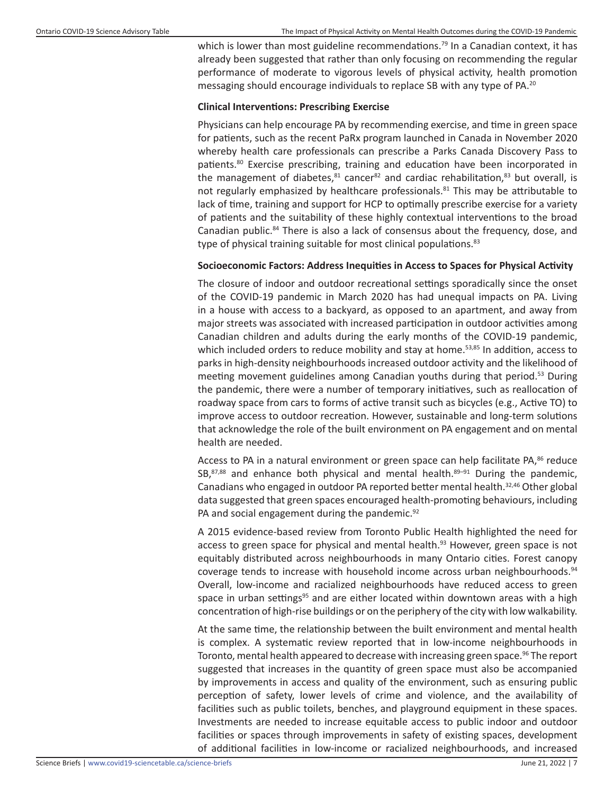which is lower than most guideline recommendations.<sup>79</sup> In a Canadian context, it has already been suggested that rather than only focusing on recommending the regular performance of moderate to vigorous levels of physical activity, health promotion messaging should encourage individuals to replace SB with any type of PA.20

#### **Clinical Interventions: Prescribing Exercise**

Physicians can help encourage PA by recommending exercise, and time in green space for patients, such as the recent PaRx program launched in Canada in November 2020 whereby health care professionals can prescribe a Parks Canada Discovery Pass to patients.<sup>80</sup> Exercise prescribing, training and education have been incorporated in the management of diabetes, $81$  cancer $82$  and cardiac rehabilitation, $83$  but overall, is not regularly emphasized by healthcare professionals. $81$  This may be attributable to lack of time, training and support for HCP to optimally prescribe exercise for a variety of patients and the suitability of these highly contextual interventions to the broad Canadian public.84 There is also a lack of consensus about the frequency, dose, and type of physical training suitable for most clinical populations.<sup>83</sup>

#### **Socioeconomic Factors: Address Inequities in Access to Spaces for Physical Activity**

The closure of indoor and outdoor recreational settings sporadically since the onset of the COVID-19 pandemic in March 2020 has had unequal impacts on PA. Living in a house with access to a backyard, as opposed to an apartment, and away from major streets was associated with increased participation in outdoor activities among Canadian children and adults during the early months of the COVID-19 pandemic, which included orders to reduce mobility and stay at home.<sup>53,85</sup> In addition, access to parks in high-density neighbourhoods increased outdoor activity and the likelihood of meeting movement guidelines among Canadian youths during that period.<sup>53</sup> During the pandemic, there were a number of temporary initiatives, such as reallocation of roadway space from cars to forms of active transit such as bicycles (e.g., Active TO) to improve access to outdoor recreation. However, sustainable and long-term solutions that acknowledge the role of the built environment on PA engagement and on mental health are needed.

Access to PA in a natural environment or green space can help facilitate PA,<sup>86</sup> reduce  $SB<sub>,87,88</sub>$  and enhance both physical and mental health. $89-91$  During the pandemic, Canadians who engaged in outdoor PA reported better mental health.32,46 Other global data suggested that green spaces encouraged health-promoting behaviours, including PA and social engagement during the pandemic.<sup>92</sup>

A 2015 evidence-based review from Toronto Public Health highlighted the need for access to green space for physical and mental health.<sup>93</sup> However, green space is not equitably distributed across neighbourhoods in many Ontario cities. Forest canopy coverage tends to increase with household income across urban neighbourhoods.<sup>94</sup> Overall, low-income and racialized neighbourhoods have reduced access to green space in urban settings<sup>95</sup> and are either located within downtown areas with a high concentration of high-rise buildings or on the periphery of the city with low walkability.

At the same time, the relationship between the built environment and mental health is complex. A systematic review reported that in low-income neighbourhoods in Toronto, mental health appeared to decrease with increasing green space.<sup>96</sup> The report suggested that increases in the quantity of green space must also be accompanied by improvements in access and quality of the environment, such as ensuring public perception of safety, lower levels of crime and violence, and the availability of facilities such as public toilets, benches, and playground equipment in these spaces. Investments are needed to increase equitable access to public indoor and outdoor facilities or spaces through improvements in safety of existing spaces, development of additional facilities in low-income or racialized neighbourhoods, and increased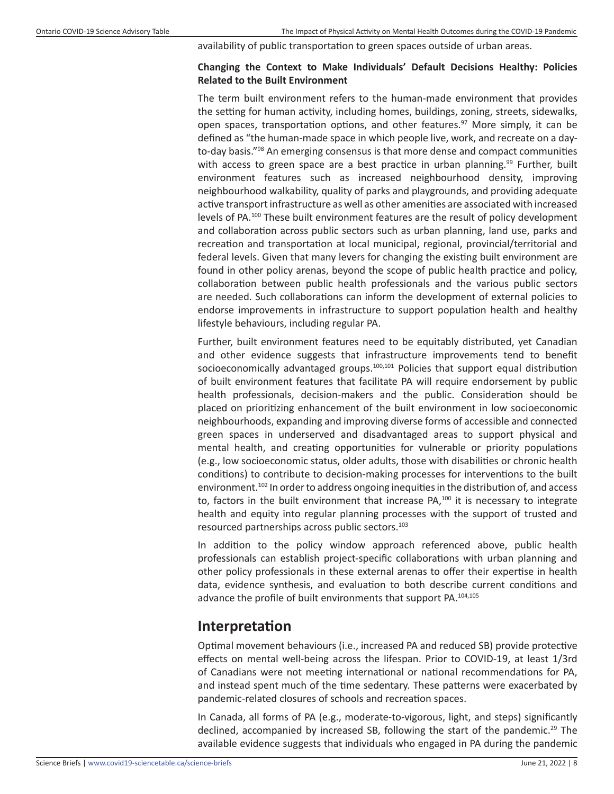availability of public transportation to green spaces outside of urban areas.

#### **Changing the Context to Make Individuals' Default Decisions Healthy: Policies Related to the Built Environment**

The term built environment refers to the [human-made environment](https://en.wikipedia.org/wiki/Human_impact_on_the_environment) that provides the setting for [human activity](https://en.wikipedia.org/wiki/Human_behavior), including [homes](https://en.wikipedia.org/wiki/Home), [buildings](https://en.wikipedia.org/wiki/Building), [zoning,](https://en.wikipedia.org/wiki/Zoning) streets, [sidewalks](https://en.wikipedia.org/wiki/Sidewalk), open spaces, transportation options, and other features.<sup>97</sup> More simply, it can be defined as "the human-made space in which people live, work, and recreate on a dayto-day basis."<sup>98</sup> An emerging consensus is that more dense and compact communities with access to green space are a best practice in urban planning.<sup>99</sup> Further, built environment features such as increased neighbourhood density, improving neighbourhood walkability, quality of parks and playgrounds, and providing adequate active transport infrastructure as well as other amenities are associated with increased levels of PA.100 These built environment features are the result of policy development and collaboration across public sectors such as urban planning, land use, parks and recreation and transportation at local municipal, regional, provincial/territorial and federal levels. Given that many levers for changing the existing built environment are found in other policy arenas, beyond the scope of public health practice and policy, collaboration between public health professionals and the various public sectors are needed. Such collaborations can inform the development of external policies to endorse improvements in infrastructure to support population health and healthy lifestyle behaviours, including regular PA.

Further, built environment features need to be equitably distributed, yet Canadian and other evidence suggests that infrastructure improvements tend to benefit socioeconomically advantaged groups. $100,101$  Policies that support equal distribution of built environment features that facilitate PA will require endorsement by public health professionals, decision-makers and the public. Consideration should be placed on prioritizing enhancement of the built environment in low socioeconomic neighbourhoods, expanding and improving diverse forms of accessible and connected green spaces in underserved and disadvantaged areas to support physical and mental health, and creating opportunities for vulnerable or priority populations (e.g., low socioeconomic status, older adults, those with disabilities or chronic health conditions) to contribute to decision-making processes for interventions to the built environment.102 In order to address ongoing inequities in the distribution of, and access to, factors in the built environment that increase  $PA<sub>1</sub>^{100}$  it is necessary to integrate health and equity into regular planning processes with the support of trusted and resourced partnerships across public sectors.103

In addition to the policy window approach referenced above, public health professionals can establish project-specific collaborations with urban planning and other policy professionals in these external arenas to offer their expertise in health data, evidence synthesis, and evaluation to both describe current conditions and advance the profile of built environments that support PA.<sup>104,105</sup>

## **Interpretation**

Optimal movement behaviours (i.e., increased PA and reduced SB) provide protective effects on mental well-being across the lifespan. Prior to COVID-19, at least 1/3rd of Canadians were not meeting international or national recommendations for PA, and instead spent much of the time sedentary. These patterns were exacerbated by pandemic-related closures of schools and recreation spaces.

In Canada, all forms of PA (e.g., moderate-to-vigorous, light, and steps) significantly declined, accompanied by increased SB, following the start of the pandemic.<sup>29</sup> The available evidence suggests that individuals who engaged in PA during the pandemic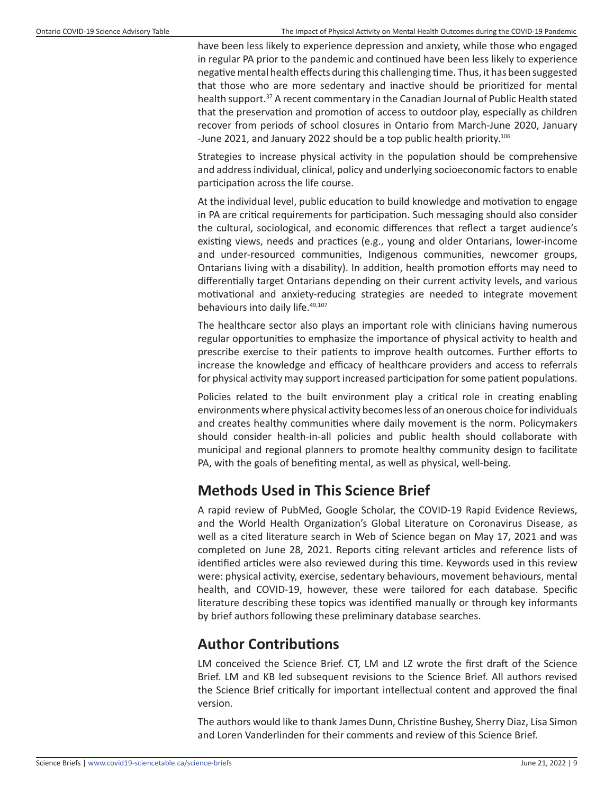have been less likely to experience depression and anxiety, while those who engaged in regular PA prior to the pandemic and continued have been less likely to experience negative mental health effects during this challenging time. Thus, it has been suggested that those who are more sedentary and inactive should be prioritized for mental health support.37 A recent commentary in the Canadian Journal of Public Health stated that the preservation and promotion of access to outdoor play, especially as children recover from periods of school closures in Ontario from March-June 2020, January -June 2021, and January 2022 should be a top public health priority.106

Strategies to increase physical activity in the population should be comprehensive and address individual, clinical, policy and underlying socioeconomic factors to enable participation across the life course.

At the individual level, public education to build knowledge and motivation to engage in PA are critical requirements for participation. Such messaging should also consider the cultural, sociological, and economic differences that reflect a target audience's existing views, needs and practices (e.g., young and older Ontarians, lower-income and under-resourced communities, Indigenous communities, newcomer groups, Ontarians living with a disability). In addition, health promotion efforts may need to differentially target Ontarians depending on their current activity levels, and various motivational and anxiety-reducing strategies are needed to integrate movement behaviours into daily life.<sup>49,107</sup>

The healthcare sector also plays an important role with clinicians having numerous regular opportunities to emphasize the importance of physical activity to health and prescribe exercise to their patients to improve health outcomes. Further efforts to increase the knowledge and efficacy of healthcare providers and access to referrals for physical activity may support increased participation for some patient populations.

Policies related to the built environment play a critical role in creating enabling environments where physical activity becomes less of an onerous choice for individuals and creates healthy communities where daily movement is the norm. Policymakers should consider health-in-all policies and public health should collaborate with municipal and regional planners to promote healthy community design to facilitate PA, with the goals of benefiting mental, as well as physical, well-being.

# **Methods Used in This Science Brief**

A rapid review of PubMed, Google Scholar, the COVID-19 Rapid Evidence Reviews, and the World Health Organization's Global Literature on Coronavirus Disease, as well as a cited literature search in Web of Science began on May 17, 2021 and was completed on June 28, 2021. Reports citing relevant articles and reference lists of identified articles were also reviewed during this time. Keywords used in this review were: physical activity, exercise, sedentary behaviours, movement behaviours, mental health, and COVID-19, however, these were tailored for each database. Specific literature describing these topics was identified manually or through key informants by brief authors following these preliminary database searches.

# **Author Contributions**

LM conceived the Science Brief. CT, LM and LZ wrote the first draft of the Science Brief. LM and KB led subsequent revisions to the Science Brief. All authors revised the Science Brief critically for important intellectual content and approved the final version.

The authors would like to thank James Dunn, Christine Bushey, Sherry Diaz, Lisa Simon and Loren Vanderlinden for their comments and review of this Science Brief.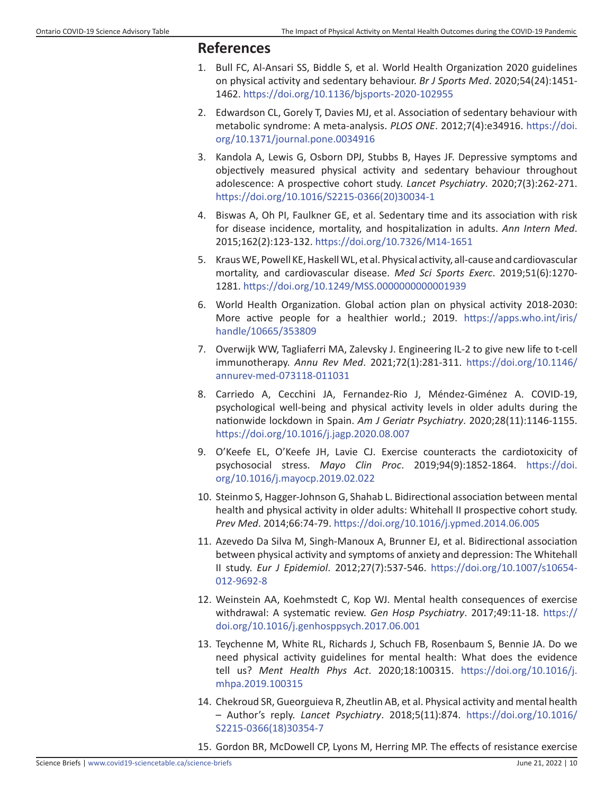## **References**

- 1. Bull FC, Al-Ansari SS, Biddle S, et al. World Health Organization 2020 guidelines on physical activity and sedentary behaviour. *Br J Sports Med*. 2020;54(24):1451- 1462. <https://doi.org/10.1136/bjsports-2020-102955>
- 2. Edwardson CL, Gorely T, Davies MJ, et al. Association of sedentary behaviour with metabolic syndrome: A meta-analysis. *PLOS ONE*. 2012;7(4):e34916. [https://doi.](https://doi.org/10.1371/journal.pone.0034916) [org/10.1371/journal.pone.0034916](https://doi.org/10.1371/journal.pone.0034916)
- 3. Kandola A, Lewis G, Osborn DPJ, Stubbs B, Hayes JF. Depressive symptoms and objectively measured physical activity and sedentary behaviour throughout adolescence: A prospective cohort study. *Lancet Psychiatry*. 2020;7(3):262-271. [https://doi.org/10.1016/S2215-0366\(20\)30034-1](https://doi.org/10.1016/S2215-0366(20)30034-1)
- 4. Biswas A, Oh PI, Faulkner GE, et al. Sedentary time and its association with risk for disease incidence, mortality, and hospitalization in adults. *Ann Intern Med*. 2015;162(2):123-132. <https://doi.org/10.7326/M14-1651>
- 5. Kraus WE, Powell KE, Haskell WL, et al. Physical activity, all-cause and cardiovascular mortality, and cardiovascular disease. *Med Sci Sports Exerc*. 2019;51(6):1270- 1281. <https://doi.org/10.1249/MSS.0000000000001939>
- 6. World Health Organization. Global action plan on physical activity 2018-2030: More active people for a healthier world.; 2019. [https://apps.who.int/iris/](https://apps.who.int/iris/handle/10665/353809) [handle/10665/353809](https://apps.who.int/iris/handle/10665/353809)
- 7. Overwijk WW, Tagliaferri MA, Zalevsky J. Engineering IL-2 to give new life to t-cell immunotherapy. *Annu Rev Med*. 2021;72(1):281-311. [https://doi.org/10.1146/](https://doi.org/10.1146/annurev-med-073118-011031) [annurev-med-073118-011031](https://doi.org/10.1146/annurev-med-073118-011031)
- 8. Carriedo A, Cecchini JA, Fernandez-Rio J, Méndez-Giménez A. COVID-19, psychological well-being and physical activity levels in older adults during the nationwide lockdown in Spain. *Am J Geriatr Psychiatry*. 2020;28(11):1146-1155. <https://doi.org/10.1016/j.jagp.2020.08.007>
- 9. O'Keefe EL, O'Keefe JH, Lavie CJ. Exercise counteracts the cardiotoxicity of psychosocial stress. *Mayo Clin Proc*. 2019;94(9):1852-1864. [https://doi.](https://doi.org/10.1016/j.mayocp.2019.02.022) [org/10.1016/j.mayocp.2019.02.022](https://doi.org/10.1016/j.mayocp.2019.02.022)
- 10. Steinmo S, Hagger-Johnson G, Shahab L. Bidirectional association between mental health and physical activity in older adults: Whitehall II prospective cohort study. *Prev Med*. 2014;66:74-79.<https://doi.org/10.1016/j.ypmed.2014.06.005>
- 11. Azevedo Da Silva M, Singh-Manoux A, Brunner EJ, et al. Bidirectional association between physical activity and symptoms of anxiety and depression: The Whitehall II study. *Eur J Epidemiol*. 2012;27(7):537-546. [https://doi.org/10.1007/s10654-](https://doi.org/10.1007/s10654-012-9692-8) [012-9692-8](https://doi.org/10.1007/s10654-012-9692-8)
- 12. Weinstein AA, Koehmstedt C, Kop WJ. Mental health consequences of exercise withdrawal: A systematic review. *Gen Hosp Psychiatry*. 2017;49:11-18. [https://](https://doi.org/10.1016/j.genhosppsych.2017.06.001) [doi.org/10.1016/j.genhosppsych.2017.06.001](https://doi.org/10.1016/j.genhosppsych.2017.06.001)
- 13. Teychenne M, White RL, Richards J, Schuch FB, Rosenbaum S, Bennie JA. Do we need physical activity guidelines for mental health: What does the evidence tell us? *Ment Health Phys Act*. 2020;18:100315. [https://doi.org/10.1016/j.](https://doi.org/10.1016/j.mhpa.2019.100315) [mhpa.2019.100315](https://doi.org/10.1016/j.mhpa.2019.100315)
- 14. Chekroud SR, Gueorguieva R, Zheutlin AB, et al. Physical activity and mental health – Author's reply. *Lancet Psychiatry*. 2018;5(11):874. [https://doi.org/10.1016/](https://doi.org/10.1016/S2215-0366(18)30354-7) [S2215-0366\(18\)30354-7](https://doi.org/10.1016/S2215-0366(18)30354-7)
- 15. Gordon BR, McDowell CP, Lyons M, Herring MP. The effects of resistance exercise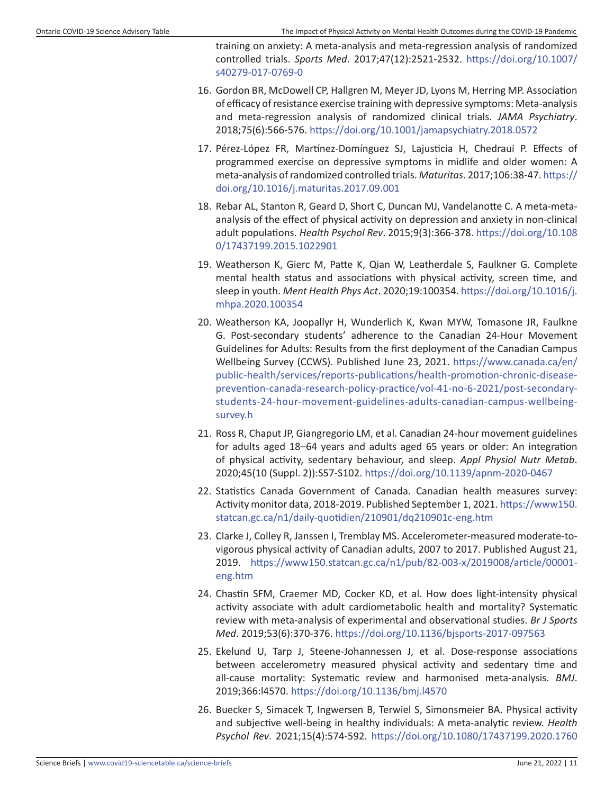training on anxiety: A meta-analysis and meta-regression analysis of randomized controlled trials. *Sports Med*. 2017;47(12):2521-2532. [https://doi.org/10.1007/](https://doi.org/10.1007/s40279-017-0769-0) [s40279-017-0769-0](https://doi.org/10.1007/s40279-017-0769-0)

- 16. Gordon BR, McDowell CP, Hallgren M, Meyer JD, Lyons M, Herring MP. Association of efficacy of resistance exercise training with depressive symptoms: Meta-analysis and meta-regression analysis of randomized clinical trials. *JAMA Psychiatry*. 2018;75(6):566-576. <https://doi.org/10.1001/jamapsychiatry.2018.0572>
- 17. Pérez-López FR, Martínez-Domínguez SJ, Lajusticia H, Chedraui P. Effects of programmed exercise on depressive symptoms in midlife and older women: A meta-analysis of randomized controlled trials. *Maturitas*. 2017;106:38-47. [https://](https://doi.org/10.1016/j.maturitas.2017.09.001) [doi.org/10.1016/j.maturitas.2017.09.001](https://doi.org/10.1016/j.maturitas.2017.09.001)
- 18. Rebar AL, Stanton R, Geard D, Short C, Duncan MJ, Vandelanotte C. A meta-metaanalysis of the effect of physical activity on depression and anxiety in non-clinical adult populations. *Health Psychol Rev*. 2015;9(3):366-378. [https://doi.org/10.108](https://doi.org/10.1080/17437199.2015.1022901) [0/17437199.2015.1022901](https://doi.org/10.1080/17437199.2015.1022901)
- 19. Weatherson K, Gierc M, Patte K, Qian W, Leatherdale S, Faulkner G. Complete mental health status and associations with physical activity, screen time, and sleep in youth. *Ment Health Phys Act*. 2020;19:100354. [https://doi.org/10.1016/j.](https://doi.org/10.1016/j.mhpa.2020.100354) [mhpa.2020.100354](https://doi.org/10.1016/j.mhpa.2020.100354)
- 20. Weatherson KA, Joopallyr H, Wunderlich K, Kwan MYW, Tomasone JR, Faulkne G. Post-secondary students' adherence to the Canadian 24-Hour Movement Guidelines for Adults: Results from the first deployment of the Canadian Campus Wellbeing Survey (CCWS). Published June 23, 2021. [https://www.canada.ca/en/](https://www.canada.ca/en/public-health/services/reports-publications/health-promotion-chronic-disease-prevention-canada-research-policy-practice/vol-41-no-6-2021/post-secondary-students-24-hour-movement-guidelines-adults-canadian-campus-wellbeing-survey.html) [public-health/services/reports-publications/health-promotion-chronic-disease](https://www.canada.ca/en/public-health/services/reports-publications/health-promotion-chronic-disease-prevention-canada-research-policy-practice/vol-41-no-6-2021/post-secondary-students-24-hour-movement-guidelines-adults-canadian-campus-wellbeing-survey.html)[prevention-canada-research-policy-practice/vol-41-no-6-2021/post-secondary](https://www.canada.ca/en/public-health/services/reports-publications/health-promotion-chronic-disease-prevention-canada-research-policy-practice/vol-41-no-6-2021/post-secondary-students-24-hour-movement-guidelines-adults-canadian-campus-wellbeing-survey.html)[students-24-hour-movement-guidelines-adults-canadian-campus-wellbeing](https://www.canada.ca/en/public-health/services/reports-publications/health-promotion-chronic-disease-prevention-canada-research-policy-practice/vol-41-no-6-2021/post-secondary-students-24-hour-movement-guidelines-adults-canadian-campus-wellbeing-survey.html)[survey.h](https://www.canada.ca/en/public-health/services/reports-publications/health-promotion-chronic-disease-prevention-canada-research-policy-practice/vol-41-no-6-2021/post-secondary-students-24-hour-movement-guidelines-adults-canadian-campus-wellbeing-survey.html)
- 21. Ross R, Chaput JP, Giangregorio LM, et al. Canadian 24-hour movement guidelines for adults aged 18–64 years and adults aged 65 years or older: An integration of physical activity, sedentary behaviour, and sleep. *Appl Physiol Nutr Metab*. 2020;45(10 (Suppl. 2)):S57-S102. <https://doi.org/10.1139/apnm-2020-0467>
- 22. Statistics Canada Government of Canada. Canadian health measures survey: Activity monitor data, 2018-2019. Published September 1, 2021. [https://www150.](https://www150.statcan.gc.ca/n1/daily-quotidien/210901/dq210901c-eng.htm) [statcan.gc.ca/n1/daily-quotidien/210901/dq210901c-eng.htm](https://www150.statcan.gc.ca/n1/daily-quotidien/210901/dq210901c-eng.htm)
- 23. Clarke J, Colley R, Janssen I, Tremblay MS. Accelerometer-measured moderate-tovigorous physical activity of Canadian adults, 2007 to 2017. Published August 21, 2019. [https://www150.statcan.gc.ca/n1/pub/82-003-x/2019008/article/00001](https://www150.statcan.gc.ca/n1/pub/82-003-x/2019008/article/00001-eng.htm) [eng.htm](https://www150.statcan.gc.ca/n1/pub/82-003-x/2019008/article/00001-eng.htm)
- 24. Chastin SFM, Craemer MD, Cocker KD, et al. How does light-intensity physical activity associate with adult cardiometabolic health and mortality? Systematic review with meta-analysis of experimental and observational studies. *Br J Sports Med*. 2019;53(6):370-376. <https://doi.org/10.1136/bjsports-2017-097563>
- 25. Ekelund U, Tarp J, Steene-Johannessen J, et al. Dose-response associations between accelerometry measured physical activity and sedentary time and all-cause mortality: Systematic review and harmonised meta-analysis. *BMJ*. 2019;366:l4570.<https://doi.org/10.1136/bmj.l4570>
- 26. Buecker S, Simacek T, Ingwersen B, Terwiel S, Simonsmeier BA. Physical activity and subjective well-being in healthy individuals: A meta-analytic review. *Health Psychol Rev*. 2021;15(4):574-592. [https://doi.org/10.1080/17437199.2020.1760](https://doi.org/10.1080/17437199.2020.1760728)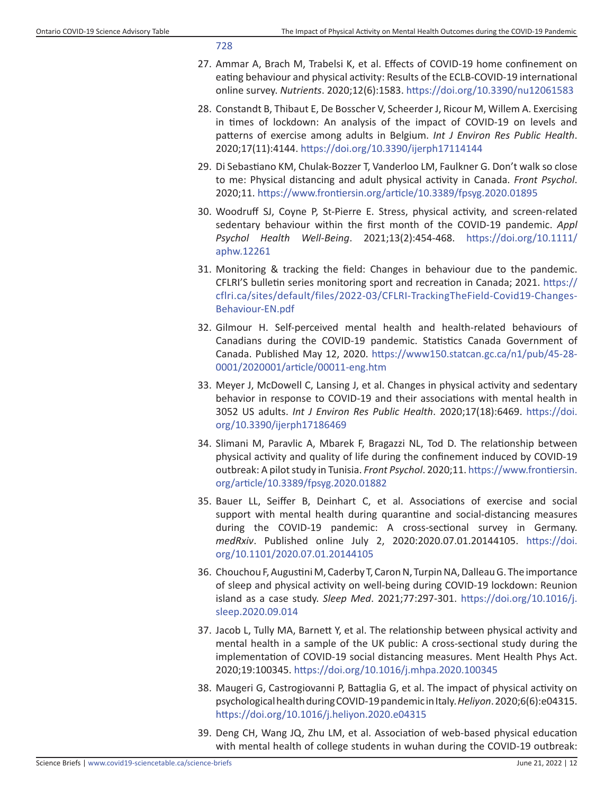[728](https://doi.org/10.1080/17437199.2020.1760728)

- 27. Ammar A, Brach M, Trabelsi K, et al. Effects of COVID-19 home confinement on eating behaviour and physical activity: Results of the ECLB-COVID-19 international online survey. *Nutrients*. 2020;12(6):1583.<https://doi.org/10.3390/nu12061583>
- 28. Constandt B, Thibaut E, De Bosscher V, Scheerder J, Ricour M, Willem A. Exercising in times of lockdown: An analysis of the impact of COVID-19 on levels and patterns of exercise among adults in Belgium. *Int J Environ Res Public Health*. 2020;17(11):4144.<https://doi.org/10.3390/ijerph17114144>
- 29. Di Sebastiano KM, Chulak-Bozzer T, Vanderloo LM, Faulkner G. Don't walk so close to me: Physical distancing and adult physical activity in Canada. *Front Psychol*. 2020;11. <https://www.frontiersin.org/article/10.3389/fpsyg.2020.01895>
- 30. Woodruff SJ, Coyne P, St-Pierre E. Stress, physical activity, and screen-related sedentary behaviour within the first month of the COVID-19 pandemic. *Appl Psychol Health Well-Being*. 2021;13(2):454-468. [https://doi.org/10.1111/](https://doi.org/10.1111/aphw.12261) [aphw.12261](https://doi.org/10.1111/aphw.12261)
- 31. Monitoring & tracking the field: Changes in behaviour due to the pandemic. CFLRI'S bulletin series monitoring sport and recreation in Canada; 2021. [https://](https://cflri.ca/sites/default/files/2022-03/CFLRI-TrackingTheField-Covid19-Changes-Behaviour-EN.pdf) [cflri.ca/sites/default/files/2022-03/CFLRI-TrackingTheField-Covid19-Changes-](https://cflri.ca/sites/default/files/2022-03/CFLRI-TrackingTheField-Covid19-Changes-Behaviour-EN.pdf)[Behaviour-EN.pdf](https://cflri.ca/sites/default/files/2022-03/CFLRI-TrackingTheField-Covid19-Changes-Behaviour-EN.pdf)
- 32. Gilmour H. Self-perceived mental health and health-related behaviours of Canadians during the COVID-19 pandemic. Statistics Canada Government of Canada. Published May 12, 2020. [https://www150.statcan.gc.ca/n1/pub/45-28-](https://www150.statcan.gc.ca/n1/pub/45-28-0001/2020001/article/00011-eng.htm) [0001/2020001/article/00011-eng.htm](https://www150.statcan.gc.ca/n1/pub/45-28-0001/2020001/article/00011-eng.htm)
- 33. Meyer J, McDowell C, Lansing J, et al. Changes in physical activity and sedentary behavior in response to COVID-19 and their associations with mental health in 3052 US adults. *Int J Environ Res Public Health*. 2020;17(18):6469. [https://doi.](https://doi.org/10.3390/ijerph17186469) [org/10.3390/ijerph17186469](https://doi.org/10.3390/ijerph17186469)
- 34. Slimani M, Paravlic A, Mbarek F, Bragazzi NL, Tod D. The relationship between physical activity and quality of life during the confinement induced by COVID-19 outbreak: A pilot study in Tunisia. *Front Psychol*. 2020;11. [https://www.frontiersin.](https://www.frontiersin.org/article/10.3389/fpsyg.2020.01882) [org/article/10.3389/fpsyg.2020.01882](https://www.frontiersin.org/article/10.3389/fpsyg.2020.01882)
- 35. Bauer LL, Seiffer B, Deinhart C, et al. Associations of exercise and social support with mental health during quarantine and social-distancing measures during the COVID-19 pandemic: A cross-sectional survey in Germany. *medRxiv*. Published online July 2, 2020:2020.07.01.20144105. [https://doi.](https://doi.org/10.1101/2020.07.01.20144105) [org/10.1101/2020.07.01.20144105](https://doi.org/10.1101/2020.07.01.20144105)
- 36. Chouchou F, Augustini M, Caderby T, Caron N, Turpin NA, Dalleau G. The importance of sleep and physical activity on well-being during COVID-19 lockdown: Reunion island as a case study. *Sleep Med*. 2021;77:297-301. [https://doi.org/10.1016/j.](https://doi.org/10.1016/j.sleep.2020.09.014) [sleep.2020.09.014](https://doi.org/10.1016/j.sleep.2020.09.014)
- 37. Jacob L, Tully MA, Barnett Y, et al. The relationship between physical activity and mental health in a sample of the UK public: A cross-sectional study during the implementation of COVID-19 social distancing measures. Ment Health Phys Act. 2020;19:100345.<https://doi.org/10.1016/j.mhpa.2020.100345>
- 38. Maugeri G, Castrogiovanni P, Battaglia G, et al. The impact of physical activity on psychological health during COVID-19 pandemic in Italy. *Heliyon*. 2020;6(6):e04315. <https://doi.org/10.1016/j.heliyon.2020.e04315>
- 39. Deng CH, Wang JQ, Zhu LM, et al. Association of web-based physical education with mental health of college students in wuhan during the COVID-19 outbreak: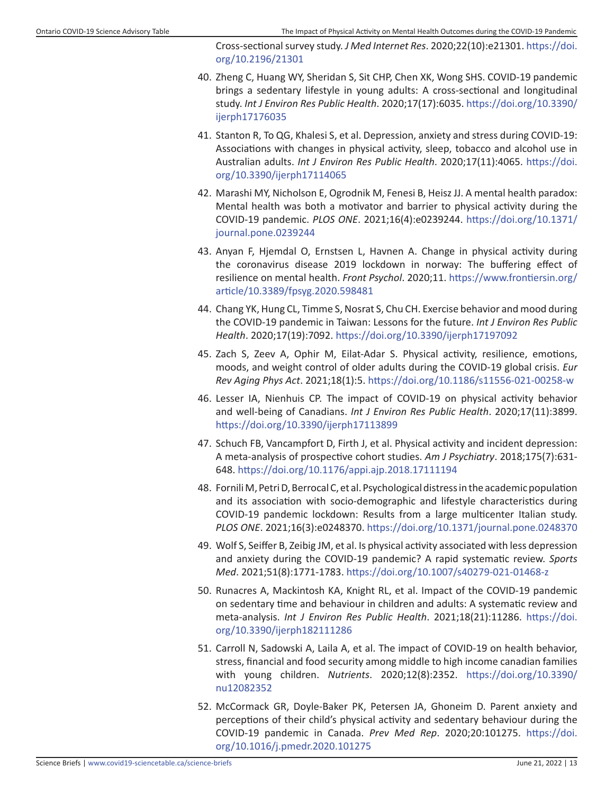Cross-sectional survey study. *J Med Internet Res*. 2020;22(10):e21301. [https://doi.](https://doi.org/10.2196/21301) [org/10.2196/21301](https://doi.org/10.2196/21301)

- 40. Zheng C, Huang WY, Sheridan S, Sit CHP, Chen XK, Wong SHS. COVID-19 pandemic brings a sedentary lifestyle in young adults: A cross-sectional and longitudinal study. *Int J Environ Res Public Health*. 2020;17(17):6035. [https://doi.org/10.3390/](https://doi.org/10.3390/ijerph17176035) [ijerph17176035](https://doi.org/10.3390/ijerph17176035)
- 41. Stanton R, To QG, Khalesi S, et al. Depression, anxiety and stress during COVID-19: Associations with changes in physical activity, sleep, tobacco and alcohol use in Australian adults. *Int J Environ Res Public Health*. 2020;17(11):4065. [https://doi.](https://doi.org/10.3390/ijerph17114065) [org/10.3390/ijerph17114065](https://doi.org/10.3390/ijerph17114065)
- 42. Marashi MY, Nicholson E, Ogrodnik M, Fenesi B, Heisz JJ. A mental health paradox: Mental health was both a motivator and barrier to physical activity during the COVID-19 pandemic. *PLOS ONE*. 2021;16(4):e0239244. [https://doi.org/10.1371/](https://doi.org/10.1371/journal.pone.0239244) [journal.pone.0239244](https://doi.org/10.1371/journal.pone.0239244)
- 43. Anyan F, Hjemdal O, Ernstsen L, Havnen A. Change in physical activity during the coronavirus disease 2019 lockdown in norway: The buffering effect of resilience on mental health. *Front Psychol*. 2020;11. [https://www.frontiersin.org/](https://www.frontiersin.org/article/10.3389/fpsyg.2020.598481) [article/10.3389/fpsyg.2020.598481](https://www.frontiersin.org/article/10.3389/fpsyg.2020.598481)
- 44. Chang YK, Hung CL, Timme S, Nosrat S, Chu CH. Exercise behavior and mood during the COVID-19 pandemic in Taiwan: Lessons for the future. *Int J Environ Res Public Health*. 2020;17(19):7092. <https://doi.org/10.3390/ijerph17197092>
- 45. Zach S, Zeev A, Ophir M, Eilat-Adar S. Physical activity, resilience, emotions, moods, and weight control of older adults during the COVID-19 global crisis. *Eur Rev Aging Phys Act*. 2021;18(1):5.<https://doi.org/10.1186/s11556-021-00258-w>
- 46. Lesser IA, Nienhuis CP. The impact of COVID-19 on physical activity behavior and well-being of Canadians. *Int J Environ Res Public Health*. 2020;17(11):3899. <https://doi.org/10.3390/ijerph17113899>
- 47. Schuch FB, Vancampfort D, Firth J, et al. Physical activity and incident depression: A meta-analysis of prospective cohort studies. *Am J Psychiatry*. 2018;175(7):631- 648. <https://doi.org/10.1176/appi.ajp.2018.17111194>
- 48. Fornili M, Petri D, Berrocal C, et al. Psychological distress in the academic population and its association with socio-demographic and lifestyle characteristics during COVID-19 pandemic lockdown: Results from a large multicenter Italian study. *PLOS ONE*. 2021;16(3):e0248370.<https://doi.org/10.1371/journal.pone.0248370>
- 49. Wolf S, Seiffer B, Zeibig JM, et al. Is physical activity associated with less depression and anxiety during the COVID-19 pandemic? A rapid systematic review. *Sports Med*. 2021;51(8):1771-1783. <https://doi.org/10.1007/s40279-021-01468-z>
- 50. Runacres A, Mackintosh KA, Knight RL, et al. Impact of the COVID-19 pandemic on sedentary time and behaviour in children and adults: A systematic review and meta-analysis. *Int J Environ Res Public Health*. 2021;18(21):11286. [https://doi.](https://doi.org/10.3390/ijerph182111286) [org/10.3390/ijerph182111286](https://doi.org/10.3390/ijerph182111286)
- 51. Carroll N, Sadowski A, Laila A, et al. The impact of COVID-19 on health behavior, stress, financial and food security among middle to high income canadian families with young children. *Nutrients*. 2020;12(8):2352. [https://doi.org/10.3390/](https://doi.org/10.3390/nu12082352) [nu12082352](https://doi.org/10.3390/nu12082352)
- 52. McCormack GR, Doyle-Baker PK, Petersen JA, Ghoneim D. Parent anxiety and perceptions of their child's physical activity and sedentary behaviour during the COVID-19 pandemic in Canada. *Prev Med Rep*. 2020;20:101275. [https://doi.](https://doi.org/10.1016/j.pmedr.2020.101275) [org/10.1016/j.pmedr.2020.101275](https://doi.org/10.1016/j.pmedr.2020.101275)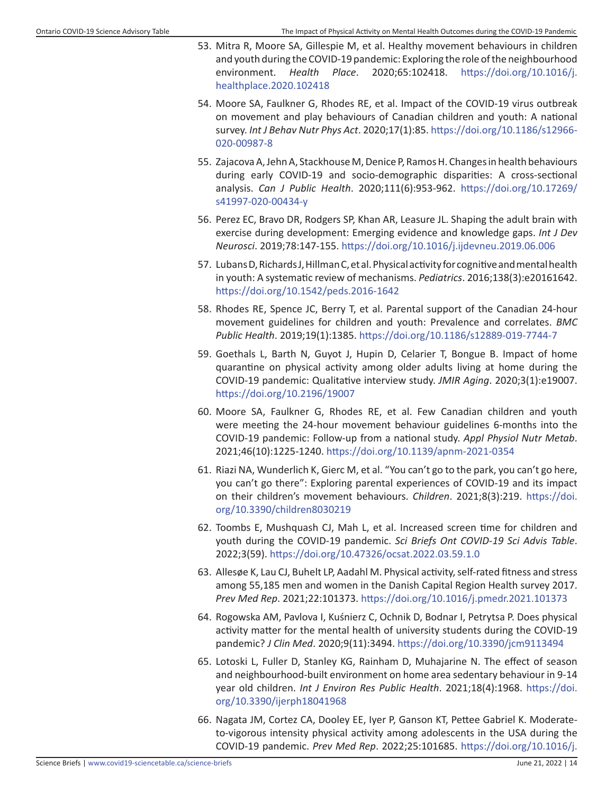- 53. Mitra R, Moore SA, Gillespie M, et al. Healthy movement behaviours in children and youth during the COVID-19 pandemic: Exploring the role of the neighbourhood environment. *Health Place*. 2020;65:102418. [https://doi.org/10.1016/j.](https://doi.org/10.1016/j.healthplace.2020.102418) [healthplace.2020.102418](https://doi.org/10.1016/j.healthplace.2020.102418)
- 54. Moore SA, Faulkner G, Rhodes RE, et al. Impact of the COVID-19 virus outbreak on movement and play behaviours of Canadian children and youth: A national survey. *Int J Behav Nutr Phys Act*. 2020;17(1):85. [https://doi.org/10.1186/s12966-](https://doi.org/10.1186/s12966-020-00987-8) [020-00987-8](https://doi.org/10.1186/s12966-020-00987-8)
- 55. Zajacova A, Jehn A, Stackhouse M, Denice P, Ramos H. Changes in health behaviours during early COVID-19 and socio-demographic disparities: A cross-sectional analysis. *Can J Public Health*. 2020;111(6):953-962. [https://doi.org/10.17269/](https://doi.org/10.17269/s41997-020-00434-y) [s41997-020-00434-y](https://doi.org/10.17269/s41997-020-00434-y)
- 56. Perez EC, Bravo DR, Rodgers SP, Khan AR, Leasure JL. Shaping the adult brain with exercise during development: Emerging evidence and knowledge gaps. *Int J Dev Neurosci*. 2019;78:147-155. <https://doi.org/10.1016/j.ijdevneu.2019.06.006>
- 57. Lubans D, Richards J, Hillman C, et al. Physical activity for cognitive and mental health in youth: A systematic review of mechanisms. *Pediatrics*. 2016;138(3):e20161642. <https://doi.org/10.1542/peds.2016-1642>
- 58. Rhodes RE, Spence JC, Berry T, et al. Parental support of the Canadian 24-hour movement guidelines for children and youth: Prevalence and correlates. *BMC Public Health*. 2019;19(1):1385.<https://doi.org/10.1186/s12889-019-7744-7>
- 59. Goethals L, Barth N, Guyot J, Hupin D, Celarier T, Bongue B. Impact of home quarantine on physical activity among older adults living at home during the COVID-19 pandemic: Qualitative interview study. *JMIR Aging*. 2020;3(1):e19007. <https://doi.org/10.2196/19007>
- 60. Moore SA, Faulkner G, Rhodes RE, et al. Few Canadian children and youth were meeting the 24-hour movement behaviour guidelines 6-months into the COVID-19 pandemic: Follow-up from a national study. *Appl Physiol Nutr Metab*. 2021;46(10):1225-1240. <https://doi.org/10.1139/apnm-2021-0354>
- 61. Riazi NA, Wunderlich K, Gierc M, et al. "You can't go to the park, you can't go here, you can't go there": Exploring parental experiences of COVID-19 and its impact on their children's movement behaviours. *Children*. 2021;8(3):219. [https://doi.](https://doi.org/10.3390/children8030219) [org/10.3390/children8030219](https://doi.org/10.3390/children8030219)
- 62. Toombs E, Mushquash CJ, Mah L, et al. Increased screen time for children and youth during the COVID-19 pandemic. *Sci Briefs Ont COVID-19 Sci Advis Table*. 2022;3(59).<https://doi.org/10.47326/ocsat.2022.03.59.1.0>
- 63. Allesøe K, Lau CJ, Buhelt LP, Aadahl M. Physical activity, self-rated fitness and stress among 55,185 men and women in the Danish Capital Region Health survey 2017. *Prev Med Rep*. 2021;22:101373.<https://doi.org/10.1016/j.pmedr.2021.101373>
- 64. Rogowska AM, Pavlova I, Kuśnierz C, Ochnik D, Bodnar I, Petrytsa P. Does physical activity matter for the mental health of university students during the COVID-19 pandemic? *J Clin Med*. 2020;9(11):3494. <https://doi.org/10.3390/jcm9113494>
- 65. Lotoski L, Fuller D, Stanley KG, Rainham D, Muhajarine N. The effect of season and neighbourhood-built environment on home area sedentary behaviour in 9-14 year old children. *Int J Environ Res Public Health*. 2021;18(4):1968. [https://doi.](https://doi.org/10.3390/ijerph18041968) [org/10.3390/ijerph18041968](https://doi.org/10.3390/ijerph18041968)
- 66. Nagata JM, Cortez CA, Dooley EE, Iyer P, Ganson KT, Pettee Gabriel K. Moderateto-vigorous intensity physical activity among adolescents in the USA during the COVID-19 pandemic. *Prev Med Rep*. 2022;25:101685. [https://doi.org/10.1016/j.](https://doi.org/10.1016/j.pmedr.2021.101685)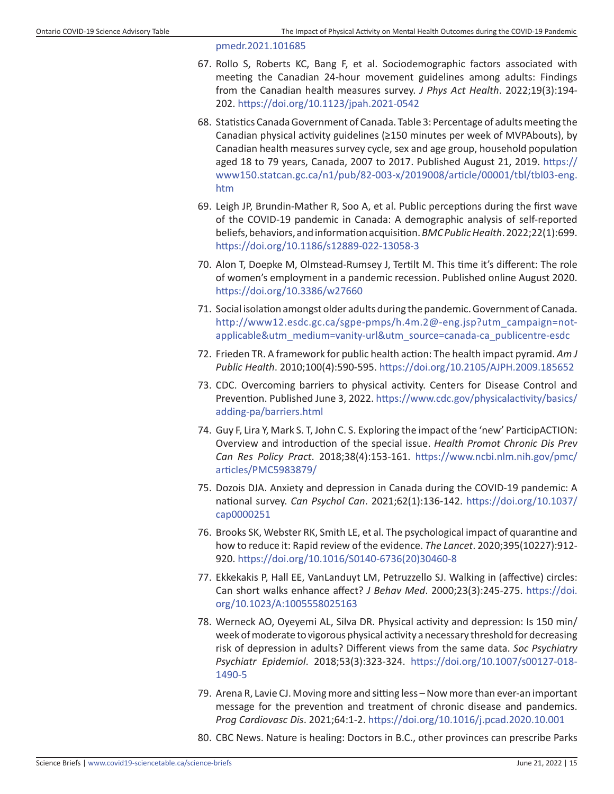[pmedr.2021.101685](https://doi.org/10.1016/j.pmedr.2021.101685)

- 67. Rollo S, Roberts KC, Bang F, et al. Sociodemographic factors associated with meeting the Canadian 24-hour movement guidelines among adults: Findings from the Canadian health measures survey. *J Phys Act Health*. 2022;19(3):194- 202. <https://doi.org/10.1123/jpah.2021-0542>
- 68. Statistics Canada Government of Canada. Table 3: Percentage of adults meeting the Canadian physical activity guidelines (≥150 minutes per week of MVPAbouts), by Canadian health measures survey cycle, sex and age group, household population aged 18 to 79 years, Canada, 2007 to 2017. Published August 21, 2019. [https://](https://www150.statcan.gc.ca/n1/pub/82-003-x/2019008/article/00001/tbl/tbl03-eng.htm) [www150.statcan.gc.ca/n1/pub/82-003-x/2019008/article/00001/tbl/tbl03-eng.](https://www150.statcan.gc.ca/n1/pub/82-003-x/2019008/article/00001/tbl/tbl03-eng.htm) [htm](https://www150.statcan.gc.ca/n1/pub/82-003-x/2019008/article/00001/tbl/tbl03-eng.htm)
- 69. Leigh JP, Brundin-Mather R, Soo A, et al. Public perceptions during the first wave of the COVID-19 pandemic in Canada: A demographic analysis of self-reported beliefs, behaviors, and information acquisition. *BMC Public Health*. 2022;22(1):699. <https://doi.org/10.1186/s12889-022-13058-3>
- 70. Alon T, Doepke M, Olmstead-Rumsey J, Tertilt M. This time it's different: The role of women's employment in a pandemic recession. Published online August 2020. <https://doi.org/10.3386/w27660>
- 71. Social isolation amongst older adults during the pandemic. Government of Canada. [http://www12.esdc.gc.ca/sgpe-pmps/h.4m.2@-eng.jsp?utm\\_campaign=not](http://www12.esdc.gc.ca/sgpe-pmps/h.4m.2@-eng.jsp?utm_campaign=not-applicable&utm_medium=vanity-url&utm_source=canada-ca_publicentre-esdc)[applicable&utm\\_medium=vanity-url&utm\\_source=canada-ca\\_publicentre-esdc](http://www12.esdc.gc.ca/sgpe-pmps/h.4m.2@-eng.jsp?utm_campaign=not-applicable&utm_medium=vanity-url&utm_source=canada-ca_publicentre-esdc)
- 72. Frieden TR. A framework for public health action: The health impact pyramid. *Am J Public Health*. 2010;100(4):590-595. <https://doi.org/10.2105/AJPH.2009.185652>
- 73. CDC. Overcoming barriers to physical activity. Centers for Disease Control and Prevention. Published June 3, 2022. [https://www.cdc.gov/physicalactivity/basics/](https://www.cdc.gov/physicalactivity/basics/adding-pa/barriers.html) [adding-pa/barriers.html](https://www.cdc.gov/physicalactivity/basics/adding-pa/barriers.html)
- 74. Guy F, Lira Y, Mark S. T, John C. S. Exploring the impact of the 'new' ParticipACTION: Overview and introduction of the special issue. *Health Promot Chronic Dis Prev Can Res Policy Pract*. 2018;38(4):153-161. [https://www.ncbi.nlm.nih.gov/pmc/](https://www.ncbi.nlm.nih.gov/pmc/articles/PMC5983879/) [articles/PMC5983879/](https://www.ncbi.nlm.nih.gov/pmc/articles/PMC5983879/)
- 75. Dozois DJA. Anxiety and depression in Canada during the COVID-19 pandemic: A national survey. *Can Psychol Can*. 2021;62(1):136-142. [https://doi.org/10.1037/](https://doi.org/10.1037/cap0000251) [cap0000251](https://doi.org/10.1037/cap0000251)
- 76. Brooks SK, Webster RK, Smith LE, et al. The psychological impact of quarantine and how to reduce it: Rapid review of the evidence. *The Lancet*. 2020;395(10227):912- 920. [https://doi.org/10.1016/S0140-6736\(20\)30460-8](https://doi.org/10.1016/S0140-6736(20)30460-8)
- 77. Ekkekakis P, Hall EE, VanLanduyt LM, Petruzzello SJ. Walking in (affective) circles: Can short walks enhance affect? *J Behav Med*. 2000;23(3):245-275. [https://doi.](https://doi.org/10.1023/A:1005558025163) [org/10.1023/A:1005558025163](https://doi.org/10.1023/A:1005558025163)
- 78. Werneck AO, Oyeyemi AL, Silva DR. Physical activity and depression: Is 150 min/ week of moderate to vigorous physical activity a necessary threshold for decreasing risk of depression in adults? Different views from the same data. *Soc Psychiatry Psychiatr Epidemiol*. 2018;53(3):323-324. [https://doi.org/10.1007/s00127-018-](https://doi.org/10.1007/s00127-018-1490-5) [1490-5](https://doi.org/10.1007/s00127-018-1490-5)
- 79. Arena R, Lavie CJ. Moving more and sitting less Now more than ever-an important message for the prevention and treatment of chronic disease and pandemics. *Prog Cardiovasc Dis*. 2021;64:1-2.<https://doi.org/10.1016/j.pcad.2020.10.001>
- 80. CBC News. Nature is healing: Doctors in B.C., other provinces can prescribe Parks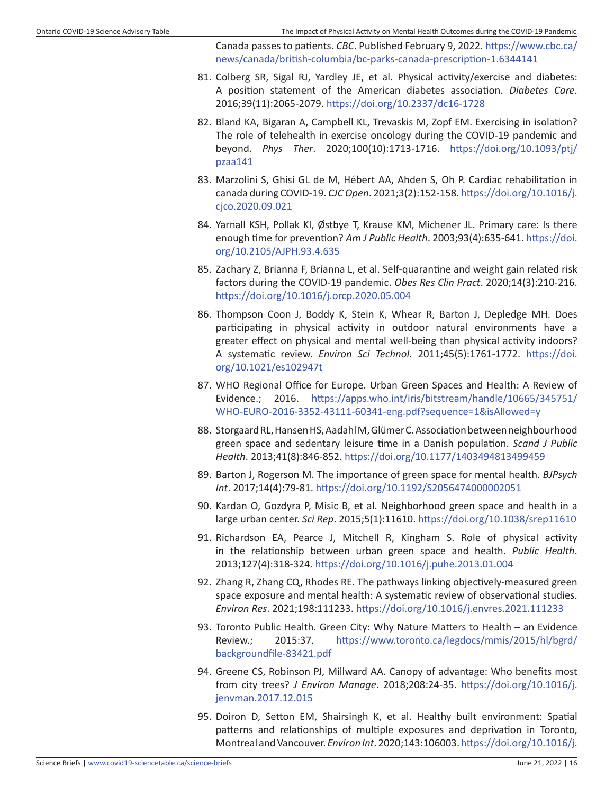Canada passes to patients. *CBC*. Published February 9, 2022. [https://www.cbc.ca/](https://www.cbc.ca/news/canada/british-columbia/bc-parks-canada-prescription-1.6344141) [news/canada/british-columbia/bc-parks-canada-prescription-1.6344141](https://www.cbc.ca/news/canada/british-columbia/bc-parks-canada-prescription-1.6344141)

- 81. Colberg SR, Sigal RJ, Yardley JE, et al. Physical activity/exercise and diabetes: A position statement of the American diabetes association. *Diabetes Care*. 2016;39(11):2065-2079. <https://doi.org/10.2337/dc16-1728>
- 82. Bland KA, Bigaran A, Campbell KL, Trevaskis M, Zopf EM. Exercising in isolation? The role of telehealth in exercise oncology during the COVID-19 pandemic and beyond. *Phys Ther*. 2020;100(10):1713-1716. [https://doi.org/10.1093/ptj/](https://doi.org/10.1093/ptj/pzaa141) [pzaa141](https://doi.org/10.1093/ptj/pzaa141)
- 83. Marzolini S, Ghisi GL de M, Hébert AA, Ahden S, Oh P. Cardiac rehabilitation in canada during COVID-19. *CJC Open*. 2021;3(2):152-158. [https://doi.org/10.1016/j.](https://doi.org/10.1016/j.cjco.2020.09.021) [cjco.2020.09.021](https://doi.org/10.1016/j.cjco.2020.09.021)
- 84. Yarnall KSH, Pollak KI, Østbye T, Krause KM, Michener JL. Primary care: Is there enough time for prevention? *Am J Public Health*. 2003;93(4):635-641. [https://doi.](https://doi.org/10.2105/AJPH.93.4.635) [org/10.2105/AJPH.93.4.635](https://doi.org/10.2105/AJPH.93.4.635)
- 85. Zachary Z, Brianna F, Brianna L, et al. Self-quarantine and weight gain related risk factors during the COVID-19 pandemic. *Obes Res Clin Pract*. 2020;14(3):210-216. <https://doi.org/10.1016/j.orcp.2020.05.004>
- 86. Thompson Coon J, Boddy K, Stein K, Whear R, Barton J, Depledge MH. Does participating in physical activity in outdoor natural environments have a greater effect on physical and mental well-being than physical activity indoors? A systematic review. *Environ Sci Technol*. 2011;45(5):1761-1772. [https://doi.](https://doi.org/10.1021/es102947t) [org/10.1021/es102947t](https://doi.org/10.1021/es102947t)
- 87. WHO Regional Office for Europe. Urban Green Spaces and Health: A Review of Evidence.; 2016. [https://apps.who.int/iris/bitstream/handle/10665/345751/](https://apps.who.int/iris/bitstream/handle/10665/345751/WHO-EURO-2016-3352-43111-60341-eng.pdf?sequence=1&isAllowed=y) [WHO-EURO-2016-3352-43111-60341-eng.pdf?sequence=1&isAllowed=y](https://apps.who.int/iris/bitstream/handle/10665/345751/WHO-EURO-2016-3352-43111-60341-eng.pdf?sequence=1&isAllowed=y)
- 88. Storgaard RL, Hansen HS, Aadahl M, Glümer C. Association between neighbourhood green space and sedentary leisure time in a Danish population. *Scand J Public Health*. 2013;41(8):846-852. <https://doi.org/10.1177/1403494813499459>
- 89. Barton J, Rogerson M. The importance of green space for mental health. *BJPsych Int*. 2017;14(4):79-81.<https://doi.org/10.1192/S2056474000002051>
- 90. Kardan O, Gozdyra P, Misic B, et al. Neighborhood green space and health in a large urban center. *Sci Rep*. 2015;5(1):11610.<https://doi.org/10.1038/srep11610>
- 91. Richardson EA, Pearce J, Mitchell R, Kingham S. Role of physical activity in the relationship between urban green space and health. *Public Health*. 2013;127(4):318-324. <https://doi.org/10.1016/j.puhe.2013.01.004>
- 92. Zhang R, Zhang CQ, Rhodes RE. The pathways linking objectively-measured green space exposure and mental health: A systematic review of observational studies. *Environ Res*. 2021;198:111233.<https://doi.org/10.1016/j.envres.2021.111233>
- 93. Toronto Public Health. Green City: Why Nature Matters to Health an Evidence Review.; 2015:37. [https://www.toronto.ca/legdocs/mmis/2015/hl/bgrd/](https://www.toronto.ca/legdocs/mmis/2015/hl/bgrd/backgroundfile-83421.pdf) [backgroundfile-83421.pdf](https://www.toronto.ca/legdocs/mmis/2015/hl/bgrd/backgroundfile-83421.pdf)
- 94. Greene CS, Robinson PJ, Millward AA. Canopy of advantage: Who benefits most from city trees? *J Environ Manage*. 2018;208:24-35. [https://doi.org/10.1016/j.](https://doi.org/10.1016/j.jenvman.2017.12.015) [jenvman.2017.12.015](https://doi.org/10.1016/j.jenvman.2017.12.015)
- 95. Doiron D, Setton EM, Shairsingh K, et al. Healthy built environment: Spatial patterns and relationships of multiple exposures and deprivation in Toronto, Montreal and Vancouver. *Environ Int*. 2020;143:106003. [https://doi.org/10.1016/j.](https://doi.org/10.1016/j.envint.2020.106003)